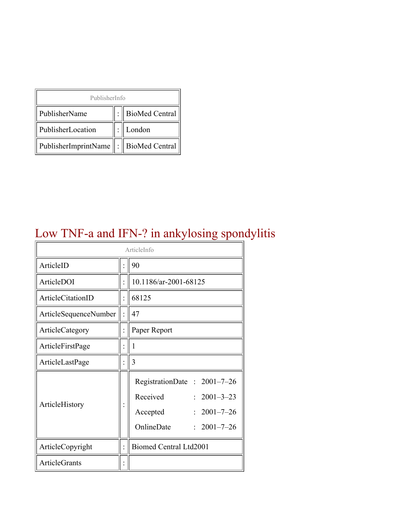| PublisherInfo                         |  |                    |  |  |
|---------------------------------------|--|--------------------|--|--|
| PublisherName                         |  | :   BioMed Central |  |  |
| PublisherLocation                     |  | London             |  |  |
| PublisherImprintName : BioMed Central |  |                    |  |  |

### Low TNF-a and IFN-? in ankylosing spondylitis

| ArticleInfo           |  |                                                                                                                              |  |
|-----------------------|--|------------------------------------------------------------------------------------------------------------------------------|--|
| ArticleID             |  | 90                                                                                                                           |  |
| ArticleDOI            |  | 10.1186/ar-2001-68125                                                                                                        |  |
| ArticleCitationID     |  | 68125                                                                                                                        |  |
| ArticleSequenceNumber |  | 47                                                                                                                           |  |
| ArticleCategory       |  | Paper Report                                                                                                                 |  |
| ArticleFirstPage      |  | 1                                                                                                                            |  |
| ArticleLastPage       |  | 3                                                                                                                            |  |
| ArticleHistory        |  | RegistrationDate: 2001-7-26<br>Received<br>$2001 - 3 - 23$<br>$2001 - 7 - 26$<br>Accepted<br>OnlineDate<br>$: 2001 - 7 - 26$ |  |
| ArticleCopyright      |  | <b>Biomed Central Ltd2001</b>                                                                                                |  |
| <b>ArticleGrants</b>  |  |                                                                                                                              |  |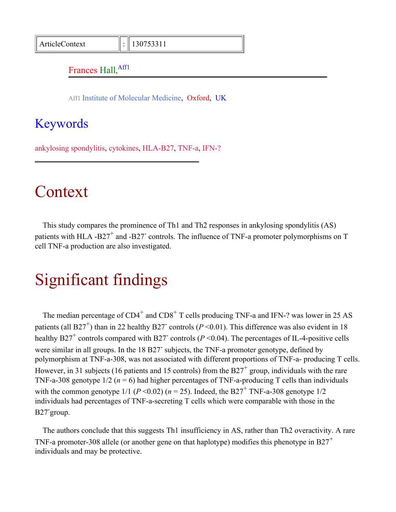#### Frances Hall, Affl

Aff1 Institute of Molecular Medicine, Oxford, UK

#### <span id="page-1-0"></span>Keywords

ankylosing spondylitis, cytokines, HLA-B27, TNF-a, IFN-?

#### Context

This study compares the prominence of Th1 and Th2 responses in ankylosing spondylitis (AS) patients with HLA -B27<sup>+</sup> and -B27<sup>-</sup> controls. The influence of TNF-a promoter polymorphisms on T cell TNF-a production are also investigated.

#### Significant findings

The median percentage of  $CD4^+$  and  $CD8^+$  T cells producing TNF-a and IFN-? was lower in 25 AS patients (all B27<sup>+</sup>) than in 22 healthy B27<sup>-</sup> controls ( $P \le 0.01$ ). This difference was also evident in 18 healthy B27<sup>+</sup> controls compared with B27<sup>-</sup> controls ( $P \le 0.04$ ). The percentages of IL-4-positive cells were similar in all groups. In the 18 B27 subjects, the TNF-a promoter genotype, defined by polymorphism at TNF-a-308, was not associated with different proportions of TNF-a- producing T cells. However, in 31 subjects (16 patients and 15 controls) from the B27<sup>+</sup> group, individuals with the rare TNF-a-308 genotype  $1/2$  ( $n = 6$ ) had higher percentages of TNF-a-producing T cells than individuals with the common genotype  $1/1$  ( $P < 0.02$ ) ( $n = 25$ ). Indeed, the B27<sup>+</sup> TNF-a-308 genotype  $1/2$ individuals had percentages of TNF-a-secreting T cells which were comparable with those in the B27- group.

The authors conclude that this suggests Th1 insufficiency in AS, rather than Th2 overactivity. A rare TNF-a promoter-308 allele (or another gene on that haplotype) modifies this phenotype in B27<sup>+</sup> individuals and may be protective.